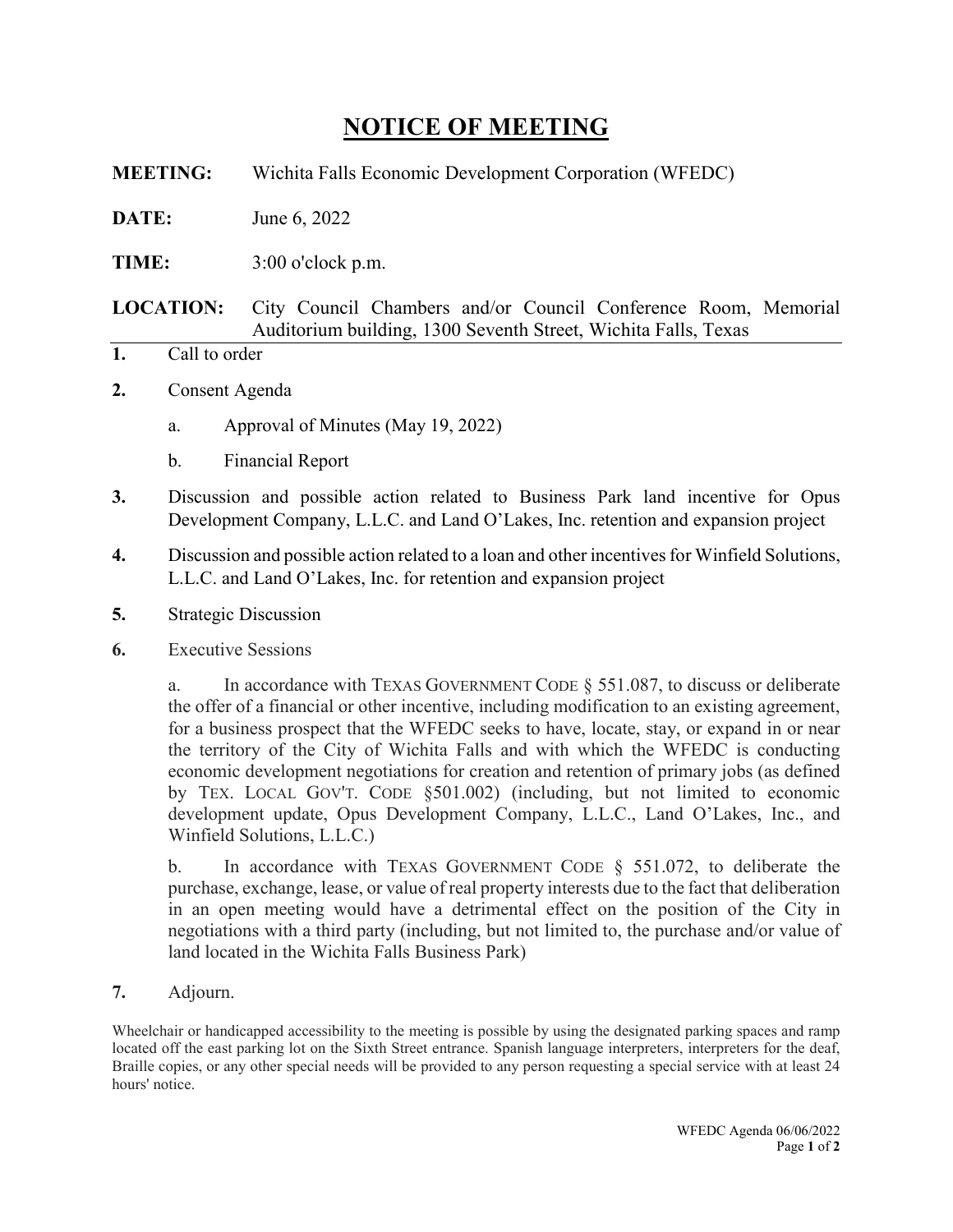## **NOTICE OF MEETING**

**MEETING:** Wichita Falls Economic Development Corporation (WFEDC)

**DATE:** June 6, 2022

**TIME:** 3:00 o'clock p.m.

**LOCATION:** City Council Chambers and/or Council Conference Room, Memorial Auditorium building, 1300 Seventh Street, Wichita Falls, Texas

- **1.** Call to order
- **2.** Consent Agenda
	- a. Approval of Minutes (May 19, 2022)
	- b. Financial Report
- **3.** Discussion and possible action related to Business Park land incentive for Opus Development Company, L.L.C. and Land O'Lakes, Inc. retention and expansion project
- **4.** Discussion and possible action related to a loan and other incentives for Winfield Solutions, L.L.C. and Land O'Lakes, Inc. for retention and expansion project
- **5.** Strategic Discussion
- **6.** Executive Sessions

a. In accordance with TEXAS GOVERNMENT CODE § 551.087, to discuss or deliberate the offer of a financial or other incentive, including modification to an existing agreement, for a business prospect that the WFEDC seeks to have, locate, stay, or expand in or near the territory of the City of Wichita Falls and with which the WFEDC is conducting economic development negotiations for creation and retention of primary jobs (as defined by TEX. LOCAL GOV'T. CODE §501.002) (including, but not limited to economic development update, Opus Development Company, L.L.C., Land O'Lakes, Inc., and Winfield Solutions, L.L.C.)

b. In accordance with TEXAS GOVERNMENT CODE  $\S$  551.072, to deliberate the purchase, exchange, lease, or value of real property interests due to the fact that deliberation in an open meeting would have a detrimental effect on the position of the City in negotiations with a third party (including, but not limited to, the purchase and/or value of land located in the Wichita Falls Business Park)

**7.** Adjourn.

Wheelchair or handicapped accessibility to the meeting is possible by using the designated parking spaces and ramp located off the east parking lot on the Sixth Street entrance. Spanish language interpreters, interpreters for the deaf, Braille copies, or any other special needs will be provided to any person requesting a special service with at least 24 hours' notice.